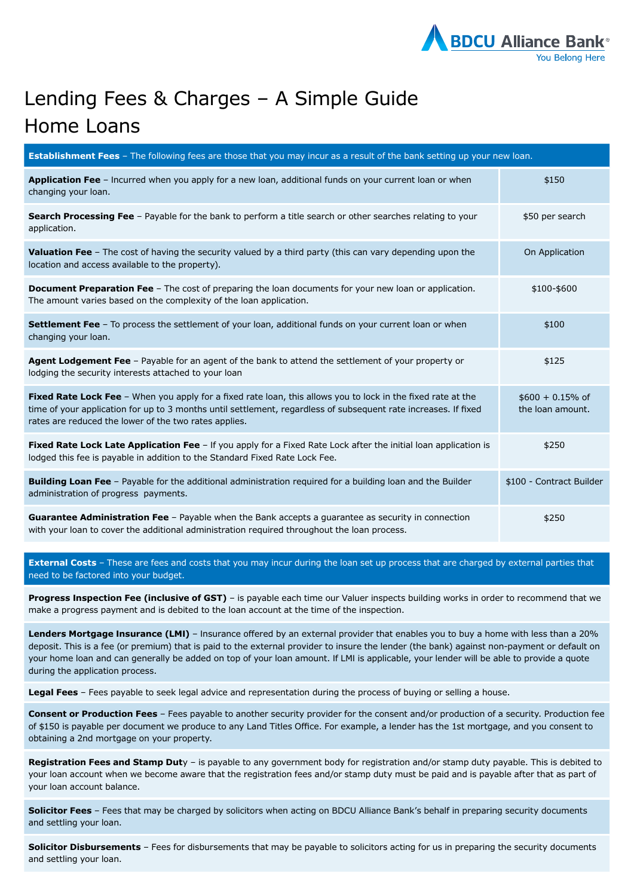

## Lending Fees & Charges – A Simple Guide Home Loans

| <b>Establishment Fees</b> - The following fees are those that you may incur as a result of the bank setting up your new loan.                                                                                                                                                            |                                        |  |
|------------------------------------------------------------------------------------------------------------------------------------------------------------------------------------------------------------------------------------------------------------------------------------------|----------------------------------------|--|
| Application Fee - Incurred when you apply for a new loan, additional funds on your current loan or when<br>changing your loan.                                                                                                                                                           | \$150                                  |  |
| <b>Search Processing Fee</b> - Payable for the bank to perform a title search or other searches relating to your<br>application.                                                                                                                                                         | \$50 per search                        |  |
| Valuation Fee - The cost of having the security valued by a third party (this can vary depending upon the<br>location and access available to the property).                                                                                                                             | On Application                         |  |
| <b>Document Preparation Fee</b> – The cost of preparing the loan documents for your new loan or application.<br>The amount varies based on the complexity of the loan application.                                                                                                       | \$100-\$600                            |  |
| Settlement Fee - To process the settlement of your loan, additional funds on your current loan or when<br>changing your loan.                                                                                                                                                            | \$100                                  |  |
| <b>Agent Lodgement Fee</b> – Payable for an agent of the bank to attend the settlement of your property or<br>lodging the security interests attached to your loan                                                                                                                       | \$125                                  |  |
| Fixed Rate Lock Fee - When you apply for a fixed rate loan, this allows you to lock in the fixed rate at the<br>time of your application for up to 3 months until settlement, regardless of subsequent rate increases. If fixed<br>rates are reduced the lower of the two rates applies. | $$600 + 0.15\%$ of<br>the loan amount. |  |
| Fixed Rate Lock Late Application Fee - If you apply for a Fixed Rate Lock after the initial loan application is<br>lodged this fee is payable in addition to the Standard Fixed Rate Lock Fee.                                                                                           | \$250                                  |  |
| Building Loan Fee - Payable for the additional administration required for a building loan and the Builder<br>administration of progress payments.                                                                                                                                       | \$100 - Contract Builder               |  |
| Guarantee Administration Fee - Payable when the Bank accepts a guarantee as security in connection<br>with your loan to cover the additional administration required throughout the loan process.                                                                                        | \$250                                  |  |

**External Costs** – These are fees and costs that you may incur during the loan set up process that are charged by external parties that need to be factored into your budget.

**Progress Inspection Fee (inclusive of GST)** – is payable each time our Valuer inspects building works in order to recommend that we make a progress payment and is debited to the loan account at the time of the inspection.

**Lenders Mortgage Insurance (LMI)** – Insurance offered by an external provider that enables you to buy a home with less than a 20% deposit. This is a fee (or premium) that is paid to the external provider to insure the lender (the bank) against non-payment or default on your home loan and can generally be added on top of your loan amount. If LMI is applicable, your lender will be able to provide a quote during the application process.

**Legal Fees** – Fees payable to seek legal advice and representation during the process of buying or selling a house.

**Consent or Production Fees** – Fees payable to another security provider for the consent and/or production of a security. Production fee of \$150 is payable per document we produce to any Land Titles Office. For example, a lender has the 1st mortgage, and you consent to obtaining a 2nd mortgage on your property.

**Registration Fees and Stamp Dut**y – is payable to any government body for registration and/or stamp duty payable. This is debited to your loan account when we become aware that the registration fees and/or stamp duty must be paid and is payable after that as part of your loan account balance.

**Solicitor Fees** – Fees that may be charged by solicitors when acting on BDCU Alliance Bank's behalf in preparing security documents and settling your loan.

**Solicitor Disbursements** – Fees for disbursements that may be payable to solicitors acting for us in preparing the security documents and settling your loan.